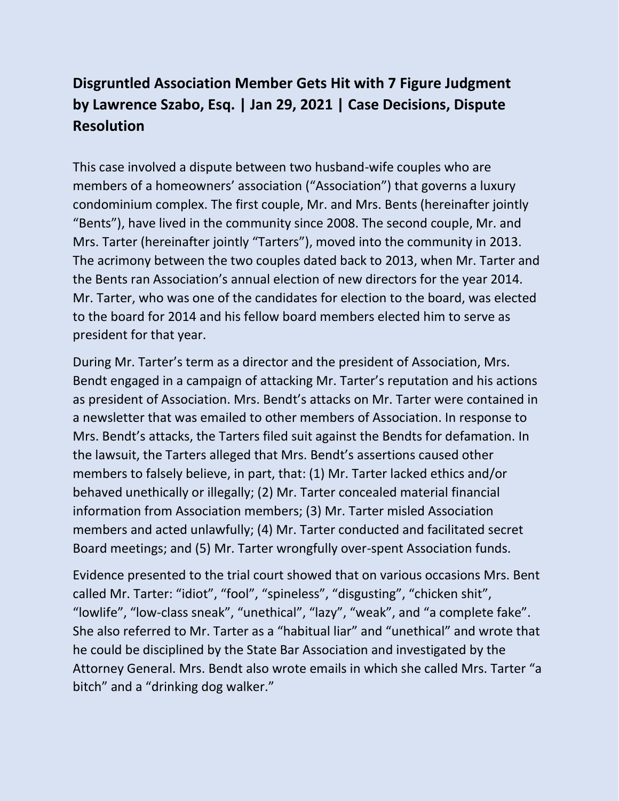## **Disgruntled Association Member Gets Hit with 7 Figure Judgment by Lawrence Szabo, Esq. | Jan 29, 2021 | Case Decisions, Dispute Resolution**

This case involved a dispute between two husband-wife couples who are members of a homeowners' association ("Association") that governs a luxury condominium complex. The first couple, Mr. and Mrs. Bents (hereinafter jointly "Bents"), have lived in the community since 2008. The second couple, Mr. and Mrs. Tarter (hereinafter jointly "Tarters"), moved into the community in 2013. The acrimony between the two couples dated back to 2013, when Mr. Tarter and the Bents ran Association's annual election of new directors for the year 2014. Mr. Tarter, who was one of the candidates for election to the board, was elected to the board for 2014 and his fellow board members elected him to serve as president for that year.

During Mr. Tarter's term as a director and the president of Association, Mrs. Bendt engaged in a campaign of attacking Mr. Tarter's reputation and his actions as president of Association. Mrs. Bendt's attacks on Mr. Tarter were contained in a newsletter that was emailed to other members of Association. In response to Mrs. Bendt's attacks, the Tarters filed suit against the Bendts for defamation. In the lawsuit, the Tarters alleged that Mrs. Bendt's assertions caused other members to falsely believe, in part, that: (1) Mr. Tarter lacked ethics and/or behaved unethically or illegally; (2) Mr. Tarter concealed material financial information from Association members; (3) Mr. Tarter misled Association members and acted unlawfully; (4) Mr. Tarter conducted and facilitated secret Board meetings; and (5) Mr. Tarter wrongfully over-spent Association funds.

Evidence presented to the trial court showed that on various occasions Mrs. Bent called Mr. Tarter: "idiot", "fool", "spineless", "disgusting", "chicken shit", "lowlife", "low-class sneak", "unethical", "lazy", "weak", and "a complete fake". She also referred to Mr. Tarter as a "habitual liar" and "unethical" and wrote that he could be disciplined by the State Bar Association and investigated by the Attorney General. Mrs. Bendt also wrote emails in which she called Mrs. Tarter "a bitch" and a "drinking dog walker."